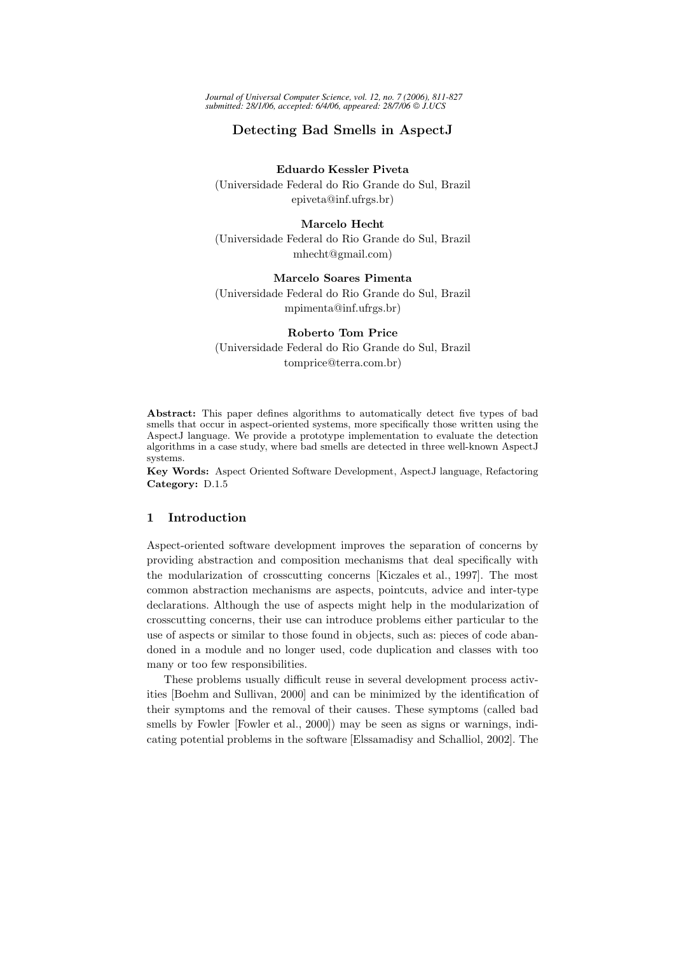*Journal of Universal Computer Science, vol. 12, no. 7 (2006), 811-827 submitted: 28/1/06, accepted: 6/4/06, appeared: 28/7/06 J.UCS*

# Detecting Bad Smells in AspectJ

# Eduardo Kessler Piveta

(Universidade Federal do Rio Grande do Sul, Brazil epiveta@inf.ufrgs.br)

#### Marcelo Hecht

(Universidade Federal do Rio Grande do Sul, Brazil mhecht@gmail.com)

# Marcelo Soares Pimenta

(Universidade Federal do Rio Grande do Sul, Brazil mpimenta@inf.ufrgs.br)

### Roberto Tom Price

(Universidade Federal do Rio Grande do Sul, Brazil tomprice@terra.com.br)

Abstract: This paper defines algorithms to automatically detect five types of bad smells that occur in aspect-oriented systems, more specifically those written using the AspectJ language. We provide a prototype implementation to evaluate the detection algorithms in a case study, where bad smells are detected in three well-known AspectJ systems.

Key Words: Aspect Oriented Software Development, AspectJ language, Refactoring Category: D.1.5

### 1 Introduction

Aspect-oriented software development improves the separation of concerns by providing abstraction and composition mechanisms that deal specifically with the modularization of crosscutting concerns [Kiczales et al., 1997]. The most common abstraction mechanisms are aspects, pointcuts, advice and inter-type declarations. Although the use of aspects might help in the modularization of crosscutting concerns, their use can introduce problems either particular to the use of aspects or similar to those found in objects, such as: pieces of code abandoned in a module and no longer used, code duplication and classes with too many or too few responsibilities.

These problems usually difficult reuse in several development process activities [Boehm and Sullivan, 2000] and can be minimized by the identification of their symptoms and the removal of their causes. These symptoms (called bad smells by Fowler [Fowler et al., 2000]) may be seen as signs or warnings, indicating potential problems in the software [Elssamadisy and Schalliol, 2002]. The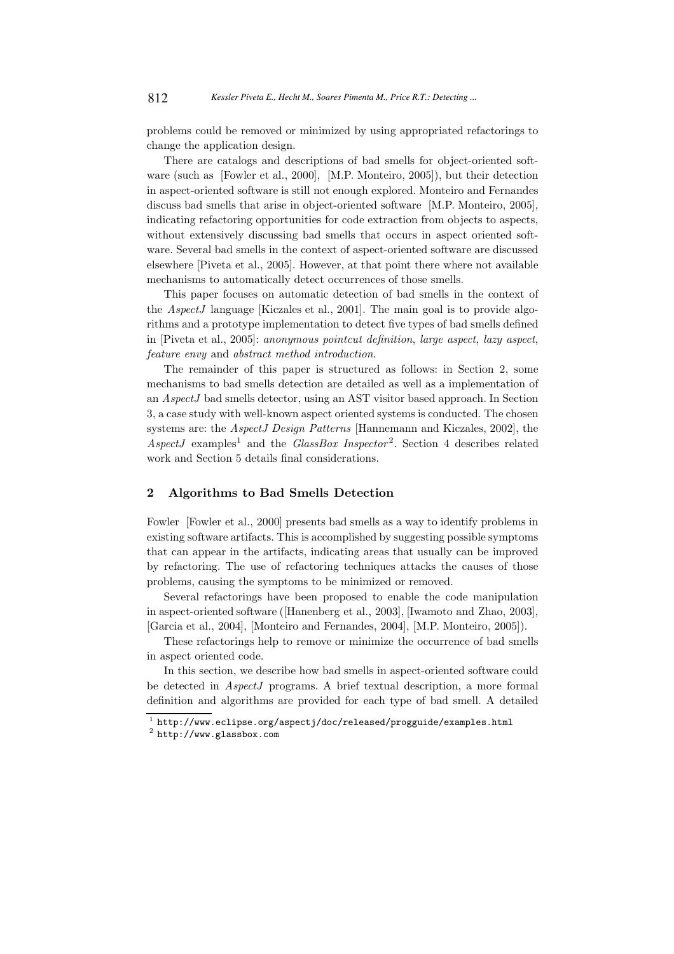problems could be removed or minimized by using appropriated refactorings to change the application design.

There are catalogs and descriptions of bad smells for object-oriented software (such as [Fowler et al., 2000], [M.P. Monteiro, 2005]), but their detection in aspect-oriented software is still not enough explored. Monteiro and Fernandes discuss bad smells that arise in object-oriented software [M.P. Monteiro, 2005], indicating refactoring opportunities for code extraction from objects to aspects, without extensively discussing bad smells that occurs in aspect oriented software. Several bad smells in the context of aspect-oriented software are discussed elsewhere [Piveta et al., 2005]. However, at that point there where not available mechanisms to automatically detect occurrences of those smells.

This paper focuses on automatic detection of bad smells in the context of the AspectJ language [Kiczales et al., 2001]. The main goal is to provide algorithms and a prototype implementation to detect five types of bad smells defined in [Piveta et al., 2005]: anonymous pointcut definition, large aspect, lazy aspect, feature envy and abstract method introduction.

The remainder of this paper is structured as follows: in Section 2, some mechanisms to bad smells detection are detailed as well as a implementation of an AspectJ bad smells detector, using an AST visitor based approach. In Section 3, a case study with well-known aspect oriented systems is conducted. The chosen systems are: the AspectJ Design Patterns [Hannemann and Kiczales, 2002], the  $AspectJ$  examples<sup>1</sup> and the *GlassBox Inspector*<sup>2</sup>. Section 4 describes related work and Section 5 details final considerations.

# 2 Algorithms to Bad Smells Detection

Fowler [Fowler et al., 2000] presents bad smells as a way to identify problems in existing software artifacts. This is accomplished by suggesting possible symptoms that can appear in the artifacts, indicating areas that usually can be improved by refactoring. The use of refactoring techniques attacks the causes of those problems, causing the symptoms to be minimized or removed.

Several refactorings have been proposed to enable the code manipulation in aspect-oriented software ([Hanenberg et al., 2003], [Iwamoto and Zhao, 2003], [Garcia et al., 2004], [Monteiro and Fernandes, 2004], [M.P. Monteiro, 2005]).

These refactorings help to remove or minimize the occurrence of bad smells in aspect oriented code.

In this section, we describe how bad smells in aspect-oriented software could be detected in AspectJ programs. A brief textual description, a more formal definition and algorithms are provided for each type of bad smell. A detailed

 $^{\rm 1}$  http://www.eclipse.org/aspectj/doc/released/progguide/examples.html

<sup>2</sup> http://www.glassbox.com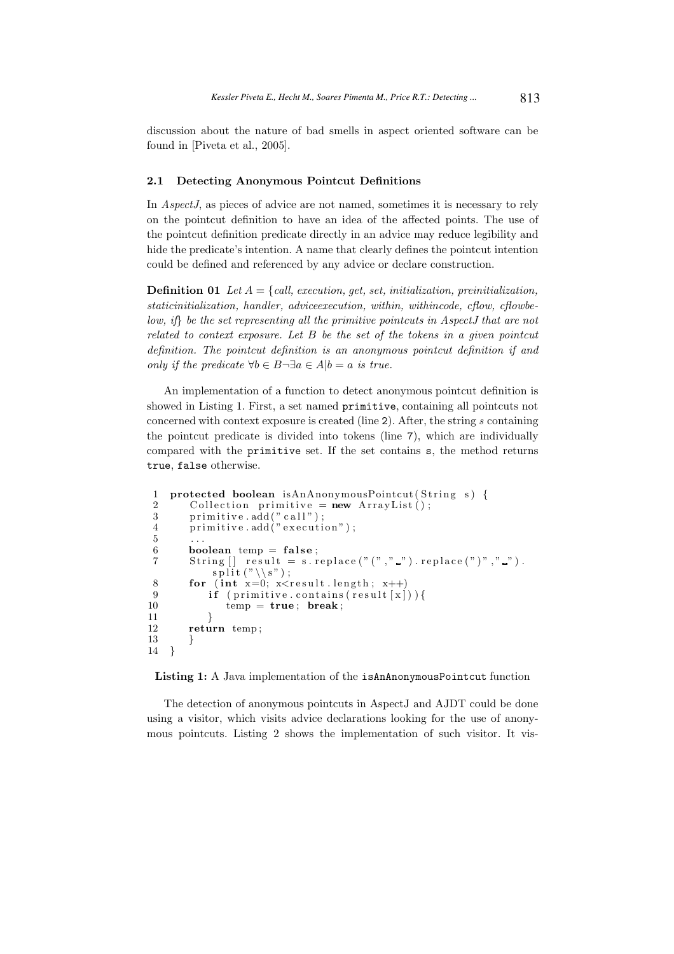discussion about the nature of bad smells in aspect oriented software can be found in [Piveta et al., 2005].

#### 2.1 Detecting Anonymous Pointcut Definitions

In AspectJ, as pieces of advice are not named, sometimes it is necessary to rely on the pointcut definition to have an idea of the affected points. The use of the pointcut definition predicate directly in an advice may reduce legibility and hide the predicate's intention. A name that clearly defines the pointcut intention could be defined and referenced by any advice or declare construction.

**Definition 01** Let  $A = \{call, execution, get, set, initialization, preinitialization,$ staticinitialization, handler, adviceexecution, within, withincode, cflow, cflowbelow, if} be the set representing all the primitive pointcuts in AspectJ that are not related to context exposure. Let B be the set of the tokens in a given pointcut definition. The pointcut definition is an anonymous pointcut definition if and only if the predicate  $\forall b \in B \neg \exists a \in A | b = a$  is true.

An implementation of a function to detect anonymous pointcut definition is showed in Listing 1. First, a set named primitive, containing all pointcuts not concerned with context exposure is created (line 2). After, the string s containing the pointcut predicate is divided into tokens (line 7), which are individually compared with the primitive set. If the set contains s, the method returns true, false otherwise.

```
1 protected boolean isAnAnonymousPointcut(String s) {
 2 Collection primitive = new ArrayList();
3 primitive.add("call");
 4 primitive . add(" execution");
 5 \qquad \ldots6 boolean temp = false;<br>7 String \begin{bmatrix} 1 & \text{result} = s \end{bmatrix}String [] result = s. replace (" (" , " " ]. replace (" " ) " , " " ].
           split ("\\s");
8 for (int x=0; x < r esult length; x++)
9 if ( primitive . contains ( result \lceil x \rceil ) ) {
10 temp = true; break;
11 }
12 return temp ;
13 }
14 }
```
Listing 1: A Java implementation of the isAnAnonymousPointcut function

The detection of anonymous pointcuts in AspectJ and AJDT could be done using a visitor, which visits advice declarations looking for the use of anonymous pointcuts. Listing 2 shows the implementation of such visitor. It vis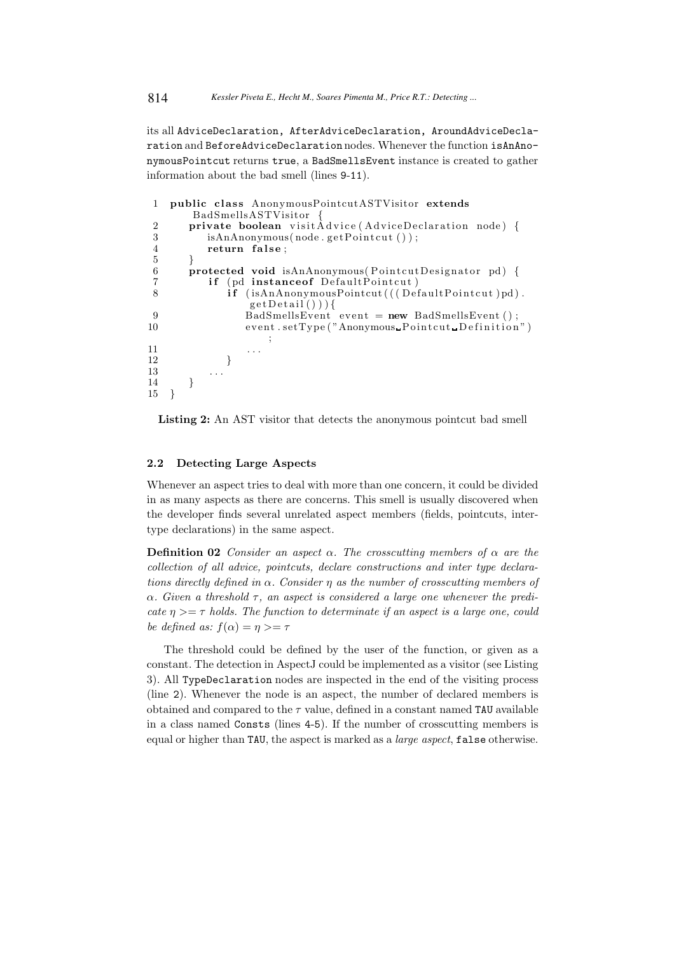its all AdviceDeclaration, AfterAdviceDeclaration, AroundAdviceDeclaration and BeforeAdviceDeclaration nodes. Whenever the function isAnAnonymousPointcut returns true, a BadSmellsEvent instance is created to gather information about the bad smell (lines 9-11).

```
1 public class AnonymousPointcutASTVisitor extends
          BadSmellsASTVisitor {
 2 private boolean visit\hat{A}dvice (AdviceDeclaration node) {<br>3 isAnAnonymous(node.getPointcut());
             isAnAnonymous(node.getPointcut());
 4 return false;
 56 protected void isAnAnonymous(PointcutDesignator pd) {
 7 if (pd instanceof DefaultPointcut)<br>8 if (isAnAnonymousPointcut(((Def
                 \mathbf{if} (isAnAnonymousPointcut (((DefaultPointcut)pd).
                       getDetails()) {
9 BadSmellsEvent event = new BadSmellsEvent ();<br>
10 event setType ("Anonymous_Pointcut_Definition
                     event.setType("Anonymous\_Pointcut\_Definition");
11 \quad \ldots \quad \ldots12 }
\begin{array}{ccc} 13 & & \cdots \\ 14 & & \end{array}\begin{matrix} 14 \\ 15 \end{matrix}15 }
```
Listing 2: An AST visitor that detects the anonymous pointcut bad smell

### 2.2 Detecting Large Aspects

Whenever an aspect tries to deal with more than one concern, it could be divided in as many aspects as there are concerns. This smell is usually discovered when the developer finds several unrelated aspect members (fields, pointcuts, intertype declarations) in the same aspect.

**Definition 02** Consider an aspect  $\alpha$ . The crosscutting members of  $\alpha$  are the collection of all advice, pointcuts, declare constructions and inter type declarations directly defined in  $\alpha$ . Consider  $\eta$  as the number of crosscutting members of  $\alpha$ . Given a threshold  $\tau$ , an aspect is considered a large one whenever the predicate  $\eta \geq -\tau$  holds. The function to determinate if an aspect is a large one, could be defined as:  $f(\alpha) = \eta \geq \tau$ 

The threshold could be defined by the user of the function, or given as a constant. The detection in AspectJ could be implemented as a visitor (see Listing 3). All TypeDeclaration nodes are inspected in the end of the visiting process (line 2). Whenever the node is an aspect, the number of declared members is obtained and compared to the  $\tau$  value, defined in a constant named TAU available in a class named Consts (lines 4-5). If the number of crosscutting members is equal or higher than TAU, the aspect is marked as a large aspect, false otherwise.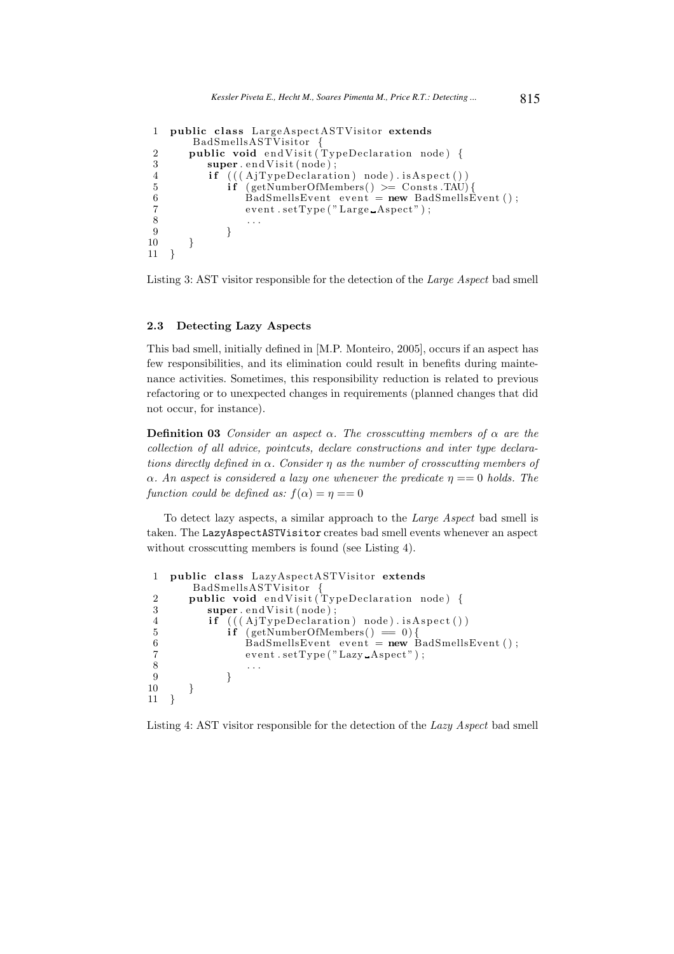```
1 public class LargeAspectASTVisitor extends
       BadSmellsASTVisitor {
2 public void endVisit (TypeDeclaration node) {
3 super. end Visit (node);
4 if (((AjTypeDeclaration) node).isAspect())5 if (getNumberOfMembers() >= Consts .TAU)6 BadSmellsEvent event = new BadSmellsEvent ();
 7 \hspace{2.5cm} \text{event.setType('Large\_Aspect'')} \, ;8 . . .
 9 }
\begin{array}{cc} 10 & 3 \\ 11 & 3 \end{array}11 }
```
Listing 3: AST visitor responsible for the detection of the Large Aspect bad smell

#### 2.3 Detecting Lazy Aspects

This bad smell, initially defined in [M.P. Monteiro, 2005], occurs if an aspect has few responsibilities, and its elimination could result in benefits during maintenance activities. Sometimes, this responsibility reduction is related to previous refactoring or to unexpected changes in requirements (planned changes that did not occur, for instance).

**Definition 03** Consider an aspect  $\alpha$ . The crosscutting members of  $\alpha$  are the collection of all advice, pointcuts, declare constructions and inter type declarations directly defined in  $\alpha$ . Consider  $\eta$  as the number of crosscutting members of  $\alpha$ . An aspect is considered a lazy one whenever the predicate  $\eta = 0$  holds. The function could be defined as:  $f(\alpha) = \eta = 0$ 

To detect lazy aspects, a similar approach to the Large Aspect bad smell is taken. The LazyAspectASTVisitor creates bad smell events whenever an aspect without crosscutting members is found (see Listing 4).

```
1 public class LazyAspectASTVisitor extends
         BadSmellsASTVisitor {
2 public void endVisit (TypeDeclaration node) {
3 super.endVisit(node);
4 if (((AjTypeDeclaration) node).isAspect())<br>5 if (getNumberOfMembers() = 0)5 \mathbf{i} \mathbf{f} \text{ (getNumberOfMembers)} = 0 {<br>6 RadSmellsEvent event = new E
 6 BadSmellsEvent event = new BadSmellsEvent ();
 7 \hspace{2.5cm} \text{event} \cdot \text{setType('}} \text{Lazy} \text{.} \text{A}\text{spect''}) \; ;8 . . .
 9 }
\begin{array}{cc} 10 & \\ 11 & \\ \end{array}11 }
```
Listing 4: AST visitor responsible for the detection of the Lazy Aspect bad smell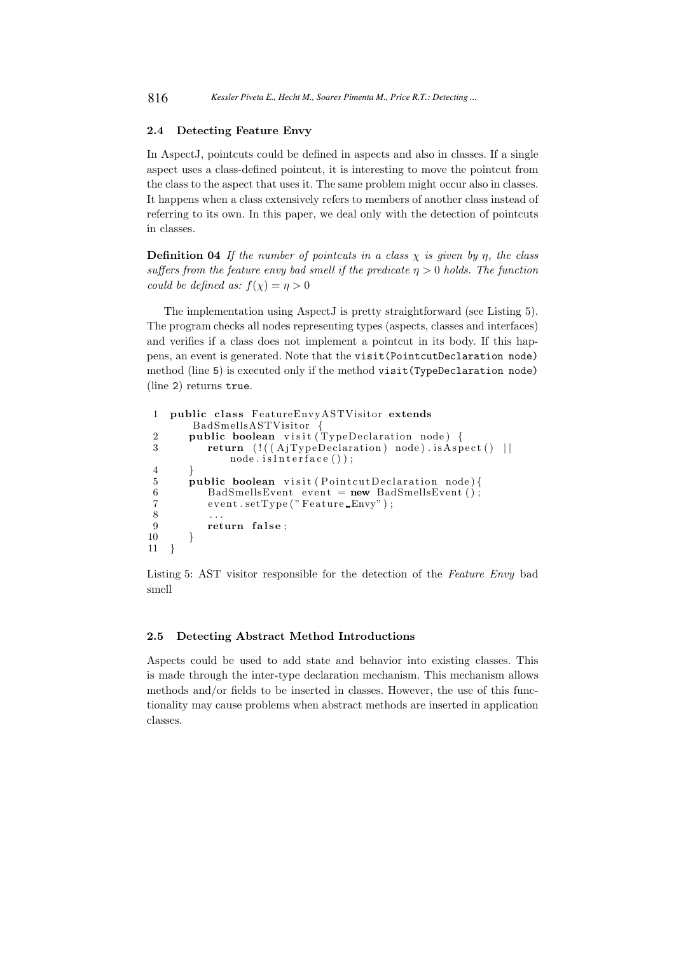### 2.4 Detecting Feature Envy

In AspectJ, pointcuts could be defined in aspects and also in classes. If a single aspect uses a class-defined pointcut, it is interesting to move the pointcut from the class to the aspect that uses it. The same problem might occur also in classes. It happens when a class extensively refers to members of another class instead of referring to its own. In this paper, we deal only with the detection of pointcuts in classes.

**Definition 04** If the number of pointcuts in a class  $\chi$  is given by  $\eta$ , the class suffers from the feature envy bad smell if the predicate  $\eta > 0$  holds. The function could be defined as:  $f(\chi) = \eta > 0$ 

The implementation using AspectJ is pretty straightforward (see Listing 5). The program checks all nodes representing types (aspects, classes and interfaces) and verifies if a class does not implement a pointcut in its body. If this happens, an event is generated. Note that the visit(PointcutDeclaration node) method (line 5) is executed only if the method visit(TypeDeclaration node) (line 2) returns true.

```
1 public class FeatureEnvyASTVisitor extends
       BadSmellsASTVisitor {
 2 public boolean visit (TypeDeclaration node) {
3 return (|((AjTypeDeclaration) node).is Aspect() ||node.isInterface() ;
4 }
5 public boolean visit (PointcutDeclaration node) {
6 BadSmellsEvent event = new BadSmellsEvent ();
7 event.setType ("Feature Envy");<br>8 ...
\frac{8}{9} ...
      return false;
10 \,11 }
```
Listing 5: AST visitor responsible for the detection of the Feature Envy bad smell

# 2.5 Detecting Abstract Method Introductions

Aspects could be used to add state and behavior into existing classes. This is made through the inter-type declaration mechanism. This mechanism allows methods and/or fields to be inserted in classes. However, the use of this functionality may cause problems when abstract methods are inserted in application classes.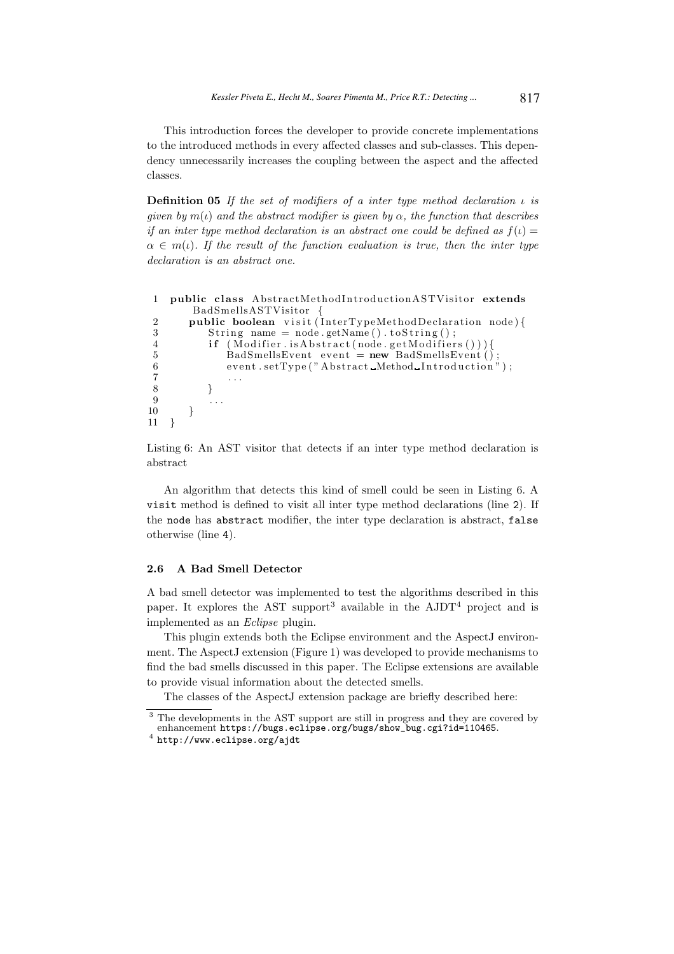This introduction forces the developer to provide concrete implementations to the introduced methods in every affected classes and sub-classes. This dependency unnecessarily increases the coupling between the aspect and the affected classes.

**Definition 05** If the set of modifiers of a inter type method declaration  $\iota$  is given by  $m(\iota)$  and the abstract modifier is given by  $\alpha$ , the function that describes if an inter type method declaration is an abstract one could be defined as  $f(t) =$  $\alpha \in m(\iota)$ . If the result of the function evaluation is true, then the inter type declaration is an abstract one.

```
1 public class AbstractMethodIntroductionASTVisitor extends
       BadSmellsASTVisitor {
2 public boolean visit (InterTypeMethodDeclaration node) {
3 String name = node.getName().toString();
4 if (Modifier.isAbstract(node.getModifiers())}
 5 BadSmellsEvent event = new BadSmellsEvent ();
 6 event . setType ("Abstract Method Introduction");
\begin{array}{ccc} 7 & & \dots \\ 8 & & \end{array}\}9 \qquad \qquad \ldots10 }
11 }
```
Listing 6: An AST visitor that detects if an inter type method declaration is abstract

An algorithm that detects this kind of smell could be seen in Listing 6. A visit method is defined to visit all inter type method declarations (line 2). If the node has abstract modifier, the inter type declaration is abstract, false otherwise (line 4).

#### 2.6 A Bad Smell Detector

A bad smell detector was implemented to test the algorithms described in this paper. It explores the AST support<sup>3</sup> available in the  $AJDT<sup>4</sup>$  project and is implemented as an Eclipse plugin.

This plugin extends both the Eclipse environment and the AspectJ environment. The AspectJ extension (Figure 1) was developed to provide mechanisms to find the bad smells discussed in this paper. The Eclipse extensions are available to provide visual information about the detected smells.

The classes of the AspectJ extension package are briefly described here:

<sup>&</sup>lt;sup>3</sup> The developments in the AST support are still in progress and they are covered by enhancement https://bugs.eclipse.org/bugs/show\_bug.cgi?id=110465.

<sup>4</sup> http://www.eclipse.org/ajdt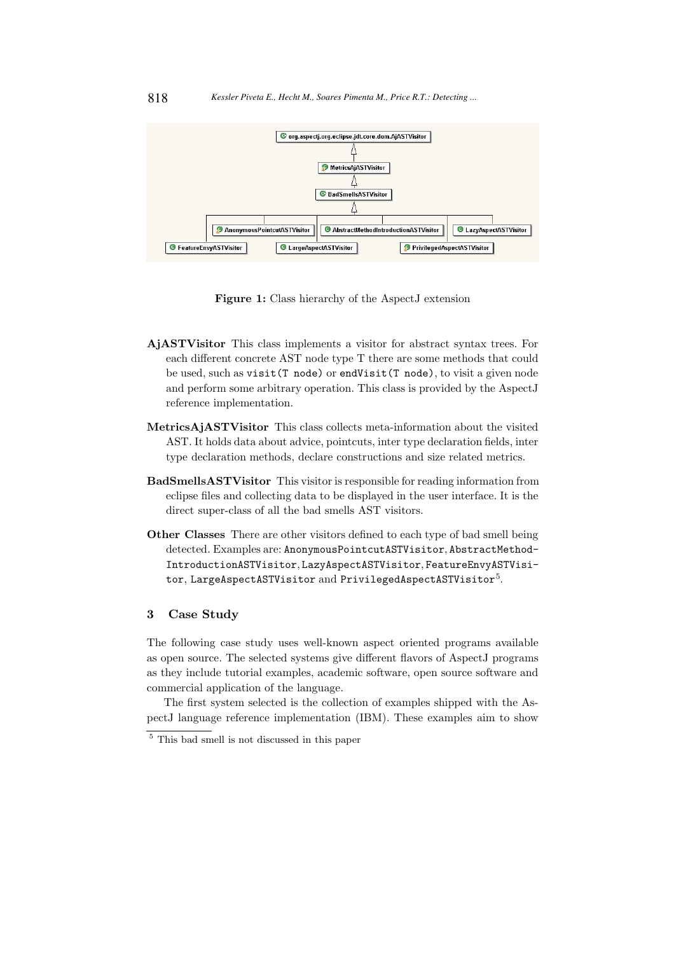

Figure 1: Class hierarchy of the AspectJ extension

- AjASTVisitor This class implements a visitor for abstract syntax trees. For each different concrete AST node type T there are some methods that could be used, such as visit(T node) or endVisit(T node), to visit a given node and perform some arbitrary operation. This class is provided by the AspectJ reference implementation.
- MetricsAjASTVisitor This class collects meta-information about the visited AST. It holds data about advice, pointcuts, inter type declaration fields, inter type declaration methods, declare constructions and size related metrics.
- BadSmellsASTVisitor This visitor is responsible for reading information from eclipse files and collecting data to be displayed in the user interface. It is the direct super-class of all the bad smells AST visitors.
- Other Classes There are other visitors defined to each type of bad smell being detected. Examples are: AnonymousPointcutASTVisitor, AbstractMethod-IntroductionASTVisitor, LazyAspectASTVisitor, FeatureEnvyASTVisitor, LargeAspectASTVisitor and PrivilegedAspectASTVisitor $^{5}.$

# 3 Case Study

The following case study uses well-known aspect oriented programs available as open source. The selected systems give different flavors of AspectJ programs as they include tutorial examples, academic software, open source software and commercial application of the language.

The first system selected is the collection of examples shipped with the AspectJ language reference implementation (IBM). These examples aim to show

<sup>5</sup> This bad smell is not discussed in this paper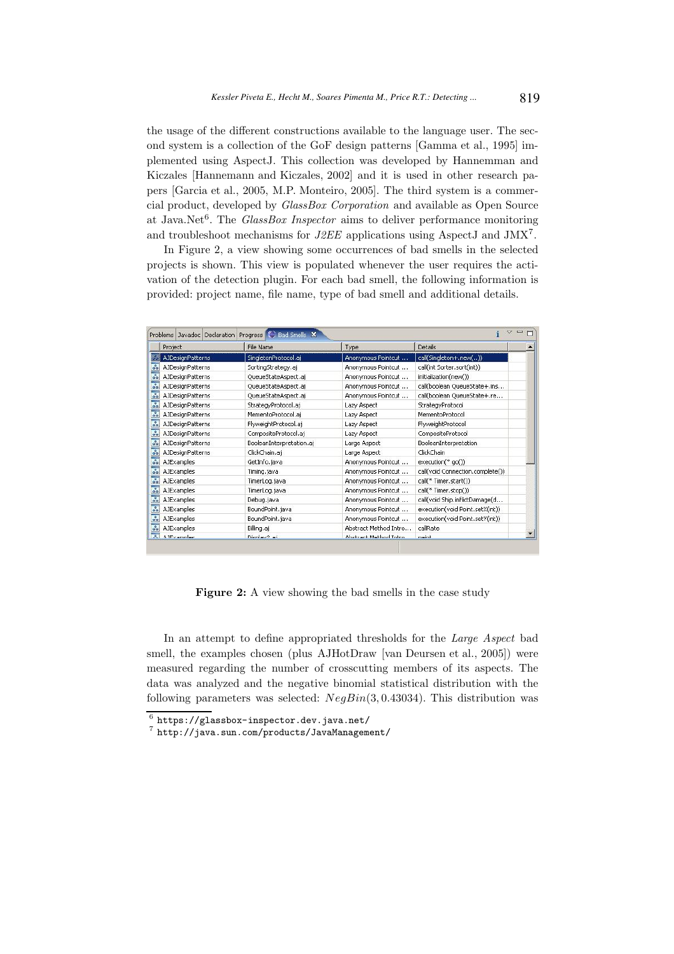the usage of the different constructions available to the language user. The second system is a collection of the GoF design patterns [Gamma et al., 1995] implemented using AspectJ. This collection was developed by Hannemman and Kiczales [Hannemann and Kiczales, 2002] and it is used in other research papers [Garcia et al., 2005, M.P. Monteiro, 2005]. The third system is a commercial product, developed by GlassBox Corporation and available as Open Source at Java.Net<sup>6</sup>. The *GlassBox Inspector* aims to deliver performance monitoring and troubleshoot mechanisms for  $J2EE$  applications using AspectJ and JMX<sup>7</sup>.

In Figure 2, a view showing some occurrences of bad smells in the selected projects is shown. This view is populated whenever the user requires the activation of the detection plugin. For each bad smell, the following information is provided: project name, file name, type of bad smell and additional details.

| Project                                             | File Name                | <b>Type</b>            | Details                          |
|-----------------------------------------------------|--------------------------|------------------------|----------------------------------|
| <b>AJDesignPatterns</b>                             | SingletonProtocol.aj     | Anonymous Pointcut     | call(Singleton+.new())           |
| ೄ<br><b>AJDesignPatterns</b>                        | SortingStrategy.aj       | Anonymous Pointcut     | call(int Sorter.sort(int))       |
| $\overline{\circ}$<br><b>AJDesignPatterns</b>       | QueueStateAspect.aj      | Anonymous Pointcut     | initialization(new())            |
| $\frac{8}{36}$<br>AJDesignPatterns                  | QueueStateAspect.aj      | Anonymous Pointcut     | call(boolean QueueState+.ins     |
| $\overline{\mathcal{S}}$<br><b>AJDesignPatterns</b> | QueueStateAspect.aj      | Anonymous Pointcut     | call(boolean QueueState+.re      |
| $\delta$<br><b>AJDesignPatterns</b>                 | StrategyProtocol.aj      | Lazy Aspect            | StrategyProtocol                 |
| $\overline{\mathcal{S}}$<br>AJDesignPatterns        | MementoProtocol.aj       | Lazy Aspect            | MementoProtocol                  |
| $\overline{\mathcal{S}}$<br>AJDesignPatterns        | FlyweightProtocol.aj     | Lazy Aspect            | FlyweightProtocol                |
| $\overline{\mathcal{S}}$<br><b>AJDesignPatterns</b> | CompositeProtocol.aj     | Lazy Aspect            | CompositeProtocol                |
| $50^{\circ}$<br>AJDesignPatterns                    | BooleanInterpretation.aj | Large Aspect           | BooleanInterpretation            |
| $\overline{\circ}$<br><b>AJDesignPatterns</b>       | ClickChain.aj            | Large Aspect           | ClickChain                       |
| $\overline{\mathcal{S}}$<br><b>AJExamples</b>       | GetInfo.java             | Anonymous Pointcut     | $execution(* qo())$              |
| $\overline{\mathcal{S}}$<br><b>AJExamples</b>       | Timing.java              | Anonymous Pointcut     | call(void Connection.complete()) |
| $\overline{\mathcal{S}}$<br>AJExamples              | TimerLog.java            | Anonymous Pointcut     | call(* Timer.start())            |
| $\overline{\mathcal{S}}$<br><b>AJExamples</b>       | TimerLog.java            | Anonymous Pointcut     | call(* Timer.stop())             |
| $\overline{\mathcal{S}}$<br>AJExamples              | Debug.java               | Anonymous Pointcut     | call(void Ship.inflictDamage(d   |
| $\overline{\circ}$<br><b>AJExamples</b>             | BoundPoint.java          | Anonymous Pointcut     | execution(void Point, setX(int)) |
| $\frac{1}{\sigma_0}$<br><b>AJExamples</b>           | BoundPoint.java          | Anonymous Pointcut     | execution(void Point.setY(int))  |
| $\overline{\mathcal{S}}$<br><b>AJExamples</b>       | Billing.aj               | Abstract Method Intro  | callRate                         |
| $\overline{\phantom{a}}$<br>6.1Evempled             | Dicolau2 ai              | übetract Method Intro- | nainh                            |

Figure 2: A view showing the bad smells in the case study

In an attempt to define appropriated thresholds for the Large Aspect bad smell, the examples chosen (plus AJHotDraw [van Deursen et al., 2005]) were measured regarding the number of crosscutting members of its aspects. The data was analyzed and the negative binomial statistical distribution with the following parameters was selected:  $NegBin(3, 0.43034)$ . This distribution was

 $^6$  https://glassbox-inspector.dev.java.net/

<sup>7</sup> http://java.sun.com/products/JavaManagement/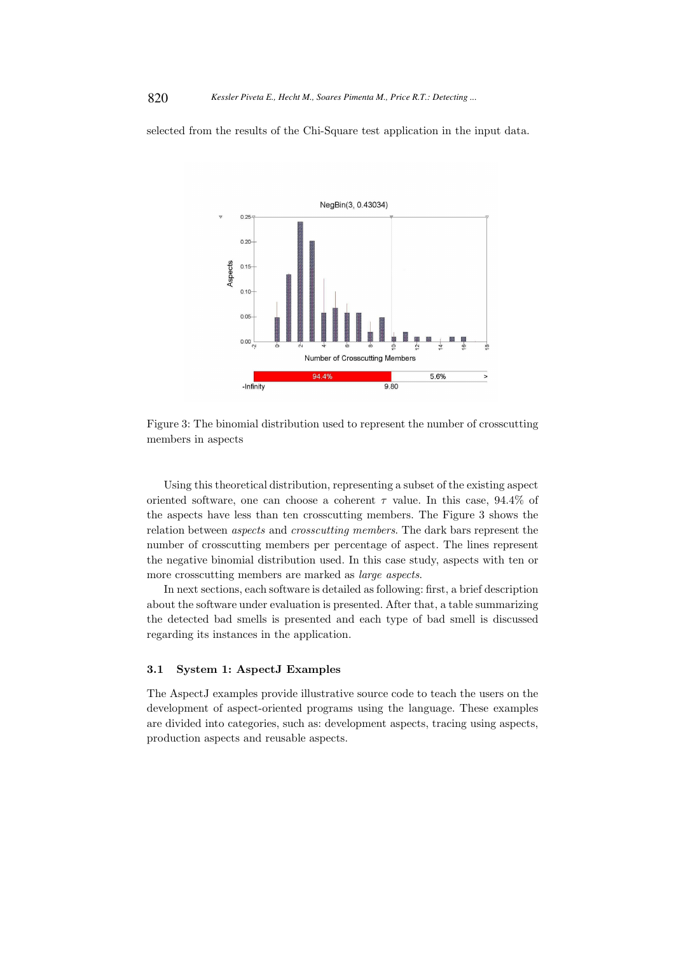selected from the results of the Chi-Square test application in the input data.



Figure 3: The binomial distribution used to represent the number of crosscutting members in aspects

Using this theoretical distribution, representing a subset of the existing aspect oriented software, one can choose a coherent  $\tau$  value. In this case, 94.4% of the aspects have less than ten crosscutting members. The Figure 3 shows the relation between aspects and crosscutting members. The dark bars represent the number of crosscutting members per percentage of aspect. The lines represent the negative binomial distribution used. In this case study, aspects with ten or more crosscutting members are marked as large aspects.

In next sections, each software is detailed as following: first, a brief description about the software under evaluation is presented. After that, a table summarizing the detected bad smells is presented and each type of bad smell is discussed regarding its instances in the application.

### 3.1 System 1: AspectJ Examples

The AspectJ examples provide illustrative source code to teach the users on the development of aspect-oriented programs using the language. These examples are divided into categories, such as: development aspects, tracing using aspects, production aspects and reusable aspects.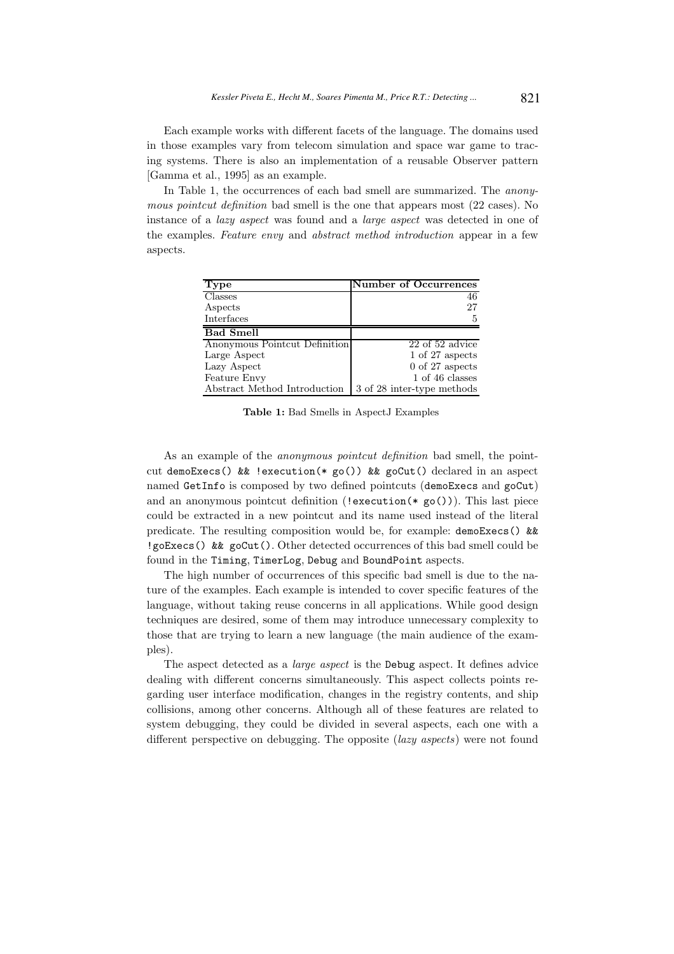Each example works with different facets of the language. The domains used in those examples vary from telecom simulation and space war game to tracing systems. There is also an implementation of a reusable Observer pattern [Gamma et al., 1995] as an example.

In Table 1, the occurrences of each bad smell are summarized. The *anony*mous pointcut definition bad smell is the one that appears most (22 cases). No instance of a lazy aspect was found and a large aspect was detected in one of the examples. Feature envy and abstract method introduction appear in a few aspects.

| Type                          | <b>Number of Occurrences</b> |
|-------------------------------|------------------------------|
| <b>Classes</b>                | 46                           |
| Aspects                       | 27                           |
| Interfaces                    | 5                            |
| <b>Bad Smell</b>              |                              |
| Anonymous Pointcut Definition | $22$ of $52$ advice          |
| Large Aspect                  | 1 of 27 aspects              |
| Lazy Aspect                   | $0$ of 27 aspects            |
| Feature Envy                  | 1 of 46 classes              |
| Abstract Method Introduction  | 3 of 28 inter-type methods   |

Table 1: Bad Smells in AspectJ Examples

As an example of the *anonymous pointcut definition* bad smell, the pointcut demoExecs() && !execution(\* go()) && goCut() declared in an aspect named GetInfo is composed by two defined pointcuts (demoExecs and goCut) and an anonymous pointcut definition (!execution(\*  $g_0()$ ). This last piece could be extracted in a new pointcut and its name used instead of the literal predicate. The resulting composition would be, for example:  $d$ emoExecs() && !goExecs() && goCut(). Other detected occurrences of this bad smell could be found in the Timing, TimerLog, Debug and BoundPoint aspects.

The high number of occurrences of this specific bad smell is due to the nature of the examples. Each example is intended to cover specific features of the language, without taking reuse concerns in all applications. While good design techniques are desired, some of them may introduce unnecessary complexity to those that are trying to learn a new language (the main audience of the examples).

The aspect detected as a *large aspect* is the Debug aspect. It defines advice dealing with different concerns simultaneously. This aspect collects points regarding user interface modification, changes in the registry contents, and ship collisions, among other concerns. Although all of these features are related to system debugging, they could be divided in several aspects, each one with a different perspective on debugging. The opposite (lazy aspects) were not found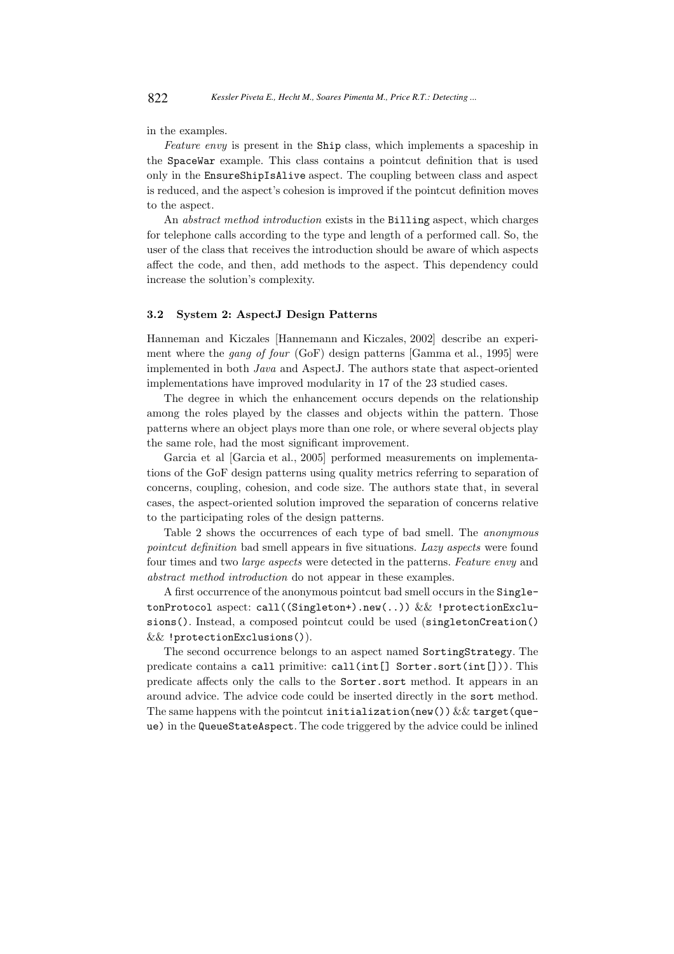in the examples.

Feature envy is present in the Ship class, which implements a spaceship in the SpaceWar example. This class contains a pointcut definition that is used only in the EnsureShipIsAlive aspect. The coupling between class and aspect is reduced, and the aspect's cohesion is improved if the pointcut definition moves to the aspect.

An abstract method introduction exists in the Billing aspect, which charges for telephone calls according to the type and length of a performed call. So, the user of the class that receives the introduction should be aware of which aspects affect the code, and then, add methods to the aspect. This dependency could increase the solution's complexity.

# 3.2 System 2: AspectJ Design Patterns

Hanneman and Kiczales [Hannemann and Kiczales, 2002] describe an experiment where the gang of four (GoF) design patterns [Gamma et al., 1995] were implemented in both Java and AspectJ. The authors state that aspect-oriented implementations have improved modularity in 17 of the 23 studied cases.

The degree in which the enhancement occurs depends on the relationship among the roles played by the classes and objects within the pattern. Those patterns where an object plays more than one role, or where several objects play the same role, had the most significant improvement.

Garcia et al [Garcia et al., 2005] performed measurements on implementations of the GoF design patterns using quality metrics referring to separation of concerns, coupling, cohesion, and code size. The authors state that, in several cases, the aspect-oriented solution improved the separation of concerns relative to the participating roles of the design patterns.

Table 2 shows the occurrences of each type of bad smell. The anonymous pointcut definition bad smell appears in five situations. Lazy aspects were found four times and two large aspects were detected in the patterns. Feature envy and abstract method introduction do not appear in these examples.

A first occurrence of the anonymous pointcut bad smell occurs in the SingletonProtocol aspect: call((Singleton+).new(..)) && !protectionExclusions(). Instead, a composed pointcut could be used (singletonCreation() && !protectionExclusions()).

The second occurrence belongs to an aspect named SortingStrategy. The predicate contains a call primitive: call(int[] Sorter.sort(int[])). This predicate affects only the calls to the Sorter.sort method. It appears in an around advice. The advice code could be inserted directly in the sort method. The same happens with the pointcut initialization(new())  $\&\&$  target(queue) in the QueueStateAspect. The code triggered by the advice could be inlined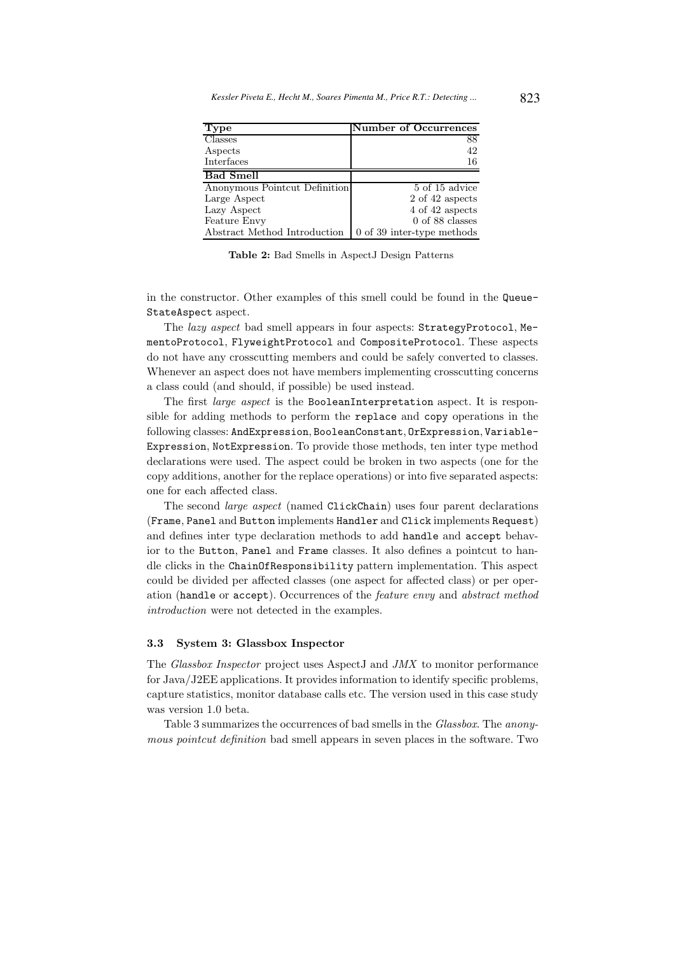| <b>Type</b>                   | <b>Number of Occurrences</b>      |
|-------------------------------|-----------------------------------|
| <b>Classes</b>                | 88                                |
| Aspects                       | 42                                |
| Interfaces                    | 16                                |
| <b>Bad Smell</b>              |                                   |
| Anonymous Pointcut Definition | $5 \text{ of } 15 \text{ advice}$ |
| Large Aspect                  | 2 of 42 aspects                   |
| Lazy Aspect                   | 4 of 42 aspects                   |
| Feature Envy                  | $0$ of 88 classes                 |
| Abstract Method Introduction  | $0$ of 39 inter-type methods      |

Table 2: Bad Smells in AspectJ Design Patterns

in the constructor. Other examples of this smell could be found in the Queue-StateAspect aspect.

The lazy aspect bad smell appears in four aspects: StrategyProtocol, MementoProtocol, FlyweightProtocol and CompositeProtocol. These aspects do not have any crosscutting members and could be safely converted to classes. Whenever an aspect does not have members implementing crosscutting concerns a class could (and should, if possible) be used instead.

The first *large aspect* is the BooleanInterpretation aspect. It is responsible for adding methods to perform the replace and copy operations in the following classes: AndExpression, BooleanConstant, OrExpression, Variable-Expression, NotExpression. To provide those methods, ten inter type method declarations were used. The aspect could be broken in two aspects (one for the copy additions, another for the replace operations) or into five separated aspects: one for each affected class.

The second large aspect (named ClickChain) uses four parent declarations (Frame, Panel and Button implements Handler and Click implements Request) and defines inter type declaration methods to add handle and accept behavior to the Button, Panel and Frame classes. It also defines a pointcut to handle clicks in the ChainOfResponsibility pattern implementation. This aspect could be divided per affected classes (one aspect for affected class) or per operation (handle or accept). Occurrences of the feature envy and abstract method introduction were not detected in the examples.

#### 3.3 System 3: Glassbox Inspector

The Glassbox Inspector project uses AspectJ and JMX to monitor performance for Java/J2EE applications. It provides information to identify specific problems, capture statistics, monitor database calls etc. The version used in this case study was version 1.0 beta.

Table 3 summarizes the occurrences of bad smells in the Glassbox. The anonymous pointcut definition bad smell appears in seven places in the software. Two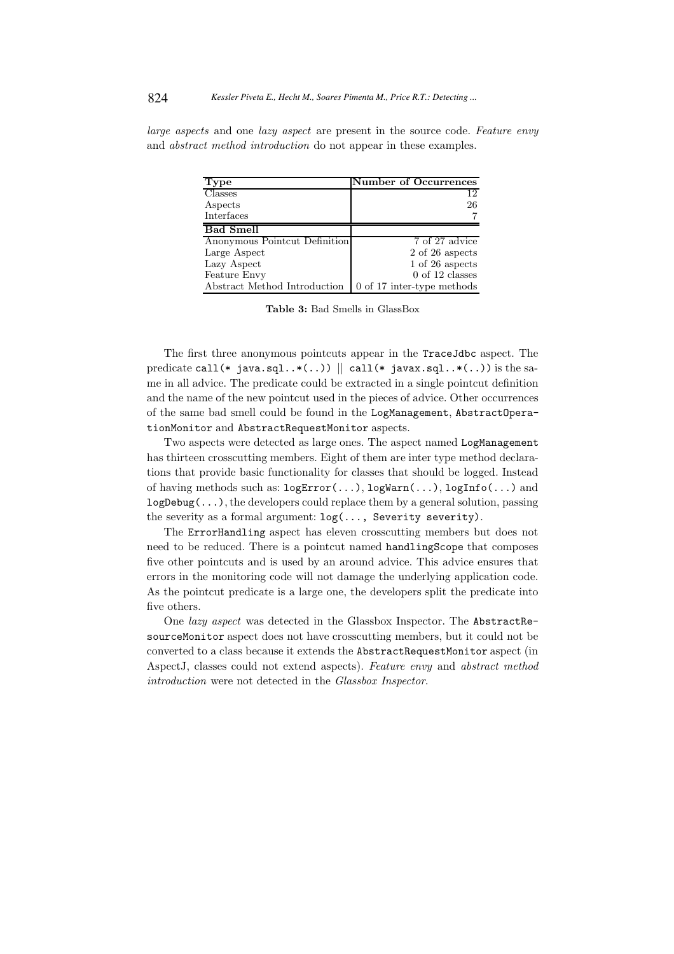large aspects and one lazy aspect are present in the source code. Feature envy and abstract method introduction do not appear in these examples.

| <b>Type</b>                   | <b>Number of Occurrences</b> |
|-------------------------------|------------------------------|
| $\overline{\text{Classes}}$   | 12                           |
| Aspects                       | 26                           |
| Interfaces                    |                              |
| <b>Bad Smell</b>              |                              |
| Anonymous Pointcut Definition | 7 of 27 advice               |
| Large Aspect                  | 2 of 26 aspects              |
| Lazy Aspect                   | 1 of 26 aspects              |
| Feature Envy                  | $0$ of 12 classes            |
| Abstract Method Introduction  | 0 of 17 inter-type methods   |

Table 3: Bad Smells in GlassBox

The first three anonymous pointcuts appear in the TraceJdbc aspect. The predicate call(\* java.sql..\*(..))  $\parallel$  call(\* javax.sql..\*(..)) is the same in all advice. The predicate could be extracted in a single pointcut definition and the name of the new pointcut used in the pieces of advice. Other occurrences of the same bad smell could be found in the LogManagement, AbstractOperationMonitor and AbstractRequestMonitor aspects.

Two aspects were detected as large ones. The aspect named LogManagement has thirteen crosscutting members. Eight of them are inter type method declarations that provide basic functionality for classes that should be logged. Instead of having methods such as: logError(...), logWarn(...), logInfo(...) and  $logDebug(...)$ , the developers could replace them by a general solution, passing the severity as a formal argument: log(..., Severity severity).

The ErrorHandling aspect has eleven crosscutting members but does not need to be reduced. There is a pointcut named handlingScope that composes five other pointcuts and is used by an around advice. This advice ensures that errors in the monitoring code will not damage the underlying application code. As the pointcut predicate is a large one, the developers split the predicate into five others.

One lazy aspect was detected in the Glassbox Inspector. The AbstractResourceMonitor aspect does not have crosscutting members, but it could not be converted to a class because it extends the AbstractRequestMonitor aspect (in AspectJ, classes could not extend aspects). Feature envy and abstract method introduction were not detected in the Glassbox Inspector.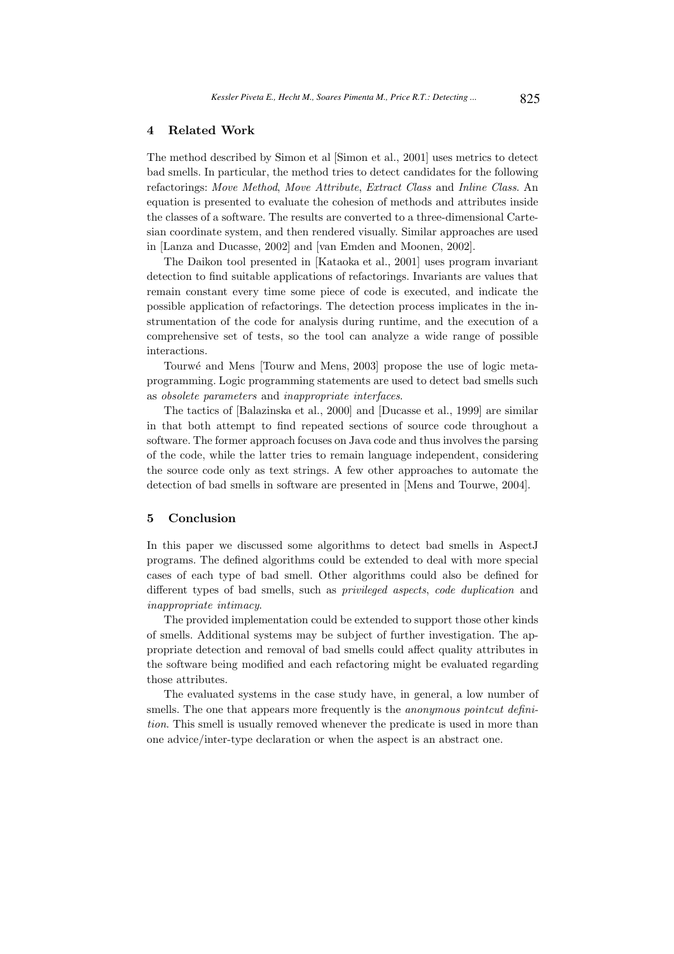### 4 Related Work

The method described by Simon et al [Simon et al., 2001] uses metrics to detect bad smells. In particular, the method tries to detect candidates for the following refactorings: Move Method, Move Attribute, Extract Class and Inline Class. An equation is presented to evaluate the cohesion of methods and attributes inside the classes of a software. The results are converted to a three-dimensional Cartesian coordinate system, and then rendered visually. Similar approaches are used in [Lanza and Ducasse, 2002] and [van Emden and Moonen, 2002].

The Daikon tool presented in [Kataoka et al., 2001] uses program invariant detection to find suitable applications of refactorings. Invariants are values that remain constant every time some piece of code is executed, and indicate the possible application of refactorings. The detection process implicates in the instrumentation of the code for analysis during runtime, and the execution of a comprehensive set of tests, so the tool can analyze a wide range of possible interactions.

Tourwé and Mens [Tourw and Mens, 2003] propose the use of logic metaprogramming. Logic programming statements are used to detect bad smells such as obsolete parameters and inappropriate interfaces.

The tactics of [Balazinska et al., 2000] and [Ducasse et al., 1999] are similar in that both attempt to find repeated sections of source code throughout a software. The former approach focuses on Java code and thus involves the parsing of the code, while the latter tries to remain language independent, considering the source code only as text strings. A few other approaches to automate the detection of bad smells in software are presented in [Mens and Tourwe, 2004].

# 5 Conclusion

In this paper we discussed some algorithms to detect bad smells in AspectJ programs. The defined algorithms could be extended to deal with more special cases of each type of bad smell. Other algorithms could also be defined for different types of bad smells, such as privileged aspects, code duplication and inappropriate intimacy.

The provided implementation could be extended to support those other kinds of smells. Additional systems may be subject of further investigation. The appropriate detection and removal of bad smells could affect quality attributes in the software being modified and each refactoring might be evaluated regarding those attributes.

The evaluated systems in the case study have, in general, a low number of smells. The one that appears more frequently is the *anonymous pointcut defini*tion. This smell is usually removed whenever the predicate is used in more than one advice/inter-type declaration or when the aspect is an abstract one.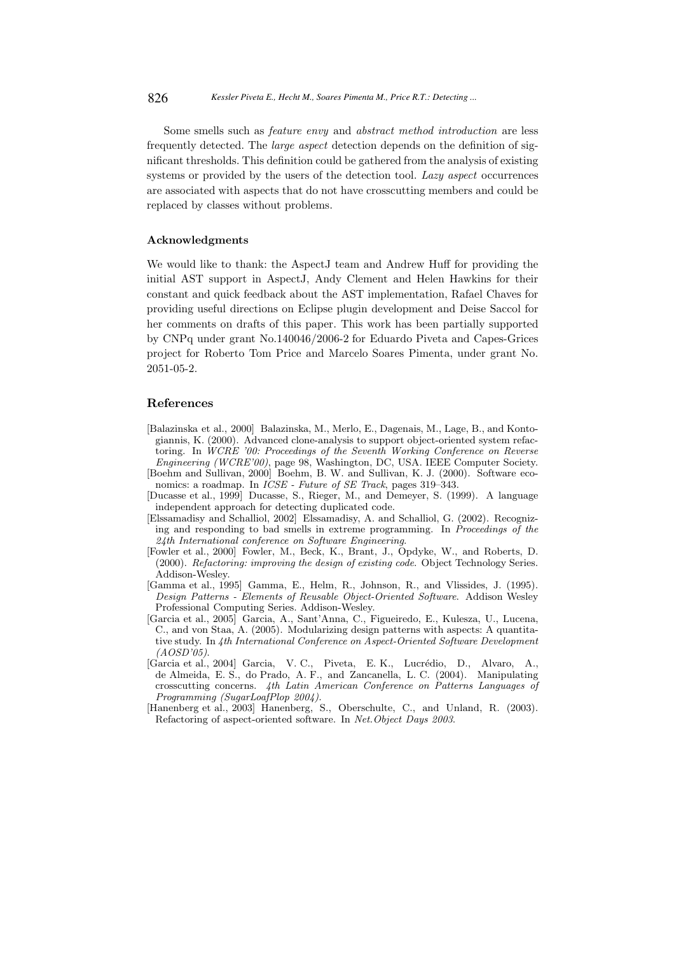Some smells such as feature envy and abstract method introduction are less frequently detected. The large aspect detection depends on the definition of significant thresholds. This definition could be gathered from the analysis of existing systems or provided by the users of the detection tool. Lazy aspect occurrences are associated with aspects that do not have crosscutting members and could be replaced by classes without problems.

### Acknowledgments

We would like to thank: the AspectJ team and Andrew Huff for providing the initial AST support in AspectJ, Andy Clement and Helen Hawkins for their constant and quick feedback about the AST implementation, Rafael Chaves for providing useful directions on Eclipse plugin development and Deise Saccol for her comments on drafts of this paper. This work has been partially supported by CNPq under grant No.140046/2006-2 for Eduardo Piveta and Capes-Grices project for Roberto Tom Price and Marcelo Soares Pimenta, under grant No. 2051-05-2.

### References

- [Balazinska et al., 2000] Balazinska, M., Merlo, E., Dagenais, M., Lage, B., and Kontogiannis, K. (2000). Advanced clone-analysis to support object-oriented system refactoring. In WCRE '00: Proceedings of the Seventh Working Conference on Reverse Engineering (WCRE'00), page 98, Washington, DC, USA. IEEE Computer Society.
- [Boehm and Sullivan, 2000] Boehm, B. W. and Sullivan, K. J. (2000). Software economics: a roadmap. In ICSE - Future of SE Track, pages 319–343.
- [Ducasse et al., 1999] Ducasse, S., Rieger, M., and Demeyer, S. (1999). A language independent approach for detecting duplicated code.
- [Elssamadisy and Schalliol, 2002] Elssamadisy, A. and Schalliol, G. (2002). Recognizing and responding to bad smells in extreme programming. In Proceedings of the 24th International conference on Software Engineering.
- [Fowler et al., 2000] Fowler, M., Beck, K., Brant, J., Opdyke, W., and Roberts, D. (2000). Refactoring: improving the design of existing code. Object Technology Series. Addison-Wesley.
- [Gamma et al., 1995] Gamma, E., Helm, R., Johnson, R., and Vlissides, J. (1995). Design Patterns - Elements of Reusable Object-Oriented Software. Addison Wesley Professional Computing Series. Addison-Wesley.
- [Garcia et al., 2005] Garcia, A., Sant'Anna, C., Figueiredo, E., Kulesza, U., Lucena, C., and von Staa, A. (2005). Modularizing design patterns with aspects: A quantitative study. In 4th International Conference on Aspect-Oriented Software Development  $(AOSD'05)$ .
- [Garcia et al., 2004] Garcia, V. C., Piveta, E. K., Lucrédio, D., Alvaro, A., de Almeida, E. S., do Prado, A. F., and Zancanella, L. C. (2004). Manipulating crosscutting concerns. 4th Latin American Conference on Patterns Languages of Programming (SugarLoafPlop 2004).
- [Hanenberg et al., 2003] Hanenberg, S., Oberschulte, C., and Unland, R. (2003). Refactoring of aspect-oriented software. In Net.Object Days 2003.